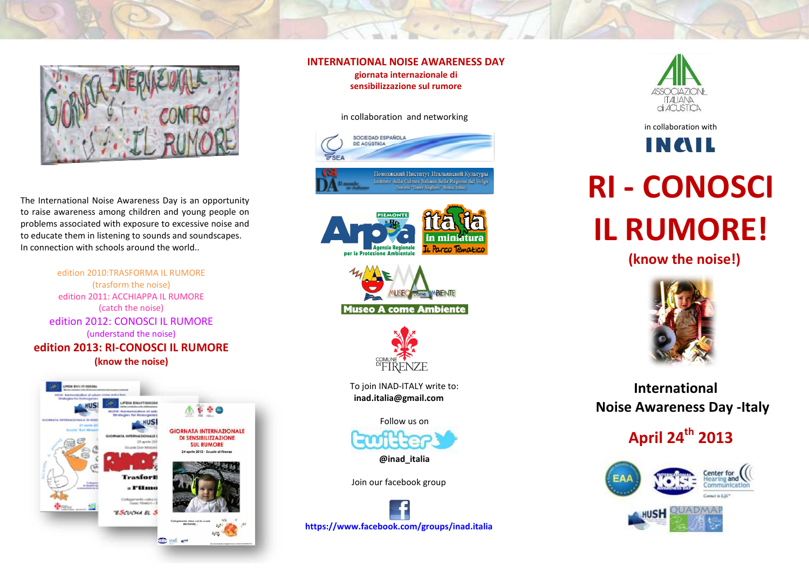

The International Noise Awareness Day is an opportunity to raise awareness among children and young people on problems associated with exposure to excessive noise and to educate them in listening to sounds and soundscapes. In connection with schools around the world..





### **INTERNATIONAL NOISE AWARENESS DAY**

**giornata internazionale di sensibilizzazione sul rumore** 

in collaboration and networking







To join INAD-ITALY write to: **inad.italia@gmail.com** 

Follow us on

**@inad\_italia** 

Join our facebook group





in collaboration with

INAIL

# **RI - CONOSCI IL RUMORE!**

 **(know the noise!)** 



 **International Noise Awareness Day -Italy** 

## **April 24th 2013**